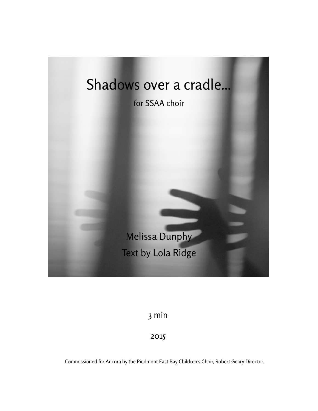

## 3 min

## 2015

Commissioned for Ancora by the Piedmont East Bay Children's Choir, Robert Geary Director.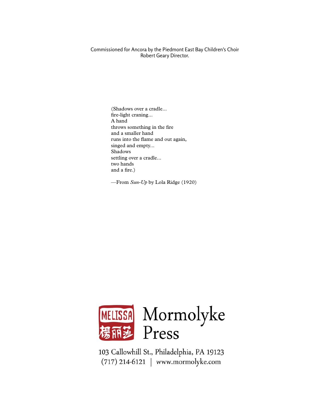Commissioned for Ancora by the Piedmont East Bay Children's Choir Robert Geary Director.

> (Shadows over a cradle... fire-light craning... A hand throws something in the fire and a smaller hand runs into the flame and out again, singed and empty... Shadows settling over a cradle... two hands and a fire.)

—From *Sun-Up* by Lola Ridge (1920)



103 Callowhill St., Philadelphia, PA 19123 (717) 214-6121 | www.mormolyke.com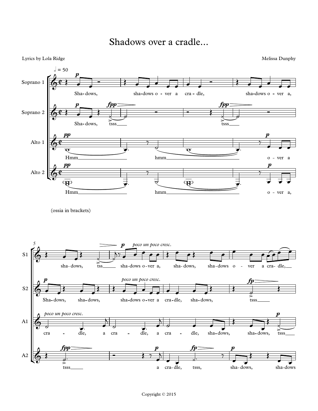

## Shadows over a cradle...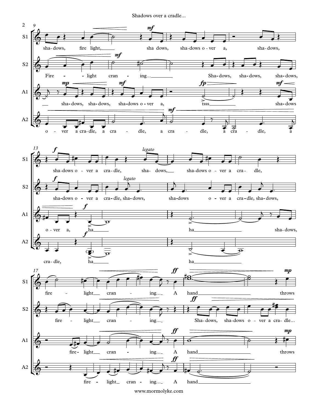Shadows over a cradle...



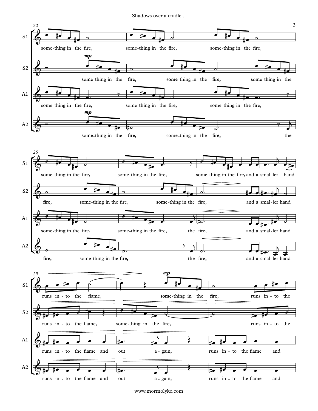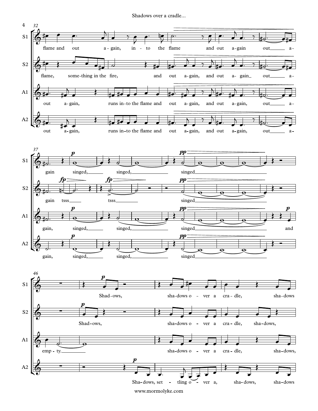Shadows over a cradle...



www.mormolyke.com